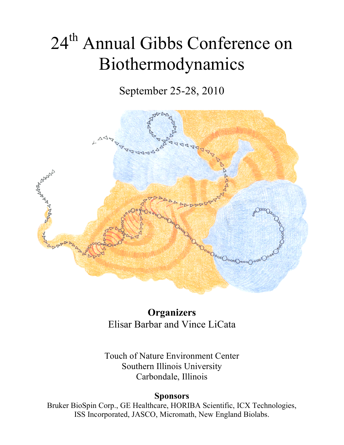# 24<sup>th</sup> Annual Gibbs Conference on Biothermodynamics

September 25-28, 2010



**Organizers** Elisar Barbar and Vince LiCata

Touch of Nature Environment Center Southern Illinois University Carbondale, Illinois

### **Sponsors**

Bruker BioSpin Corp., GE Healthcare, HORIBA Scientific, ICX Technologies, ISS Incorporated, JASCO, Micromath, New England Biolabs.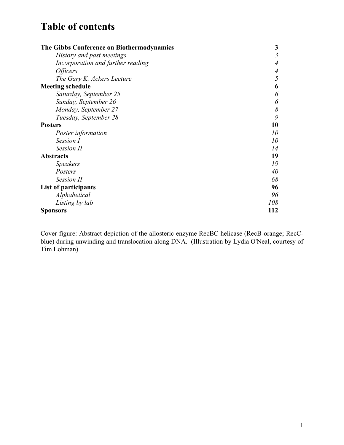### **Table of contents**

| The Gibbs Conference on Biothermodynamics | 3              |
|-------------------------------------------|----------------|
| History and past meetings                 | $\mathfrak{Z}$ |
| Incorporation and further reading         |                |
| <i>Officers</i>                           | 4              |
| The Gary K. Ackers Lecture                | 5              |
| <b>Meeting schedule</b>                   | 6              |
| Saturday, September 25                    | 6              |
| Sunday, September 26                      | 6              |
| Monday, September 27                      | 8              |
| Tuesday, September 28                     | 9              |
| <b>Posters</b>                            | 10             |
| Poster information                        | 10             |
| Session I                                 | 10             |
| <b>Session II</b>                         | 14             |
| <b>Abstracts</b>                          | 19             |
| <b>Speakers</b>                           | 19             |
| Posters                                   | 40             |
| <b>Session II</b>                         | 68             |
| List of participants                      | 96             |
| Alphabetical                              | 96             |
| Listing by lab                            | 108            |
| <b>Sponsors</b>                           | 112            |

Cover figure: Abstract depiction of the allosteric enzyme RecBC helicase (RecB-orange; RecCblue) during unwinding and translocation along DNA. (Illustration by Lydia O'Neal, courtesy of Tim Lohman)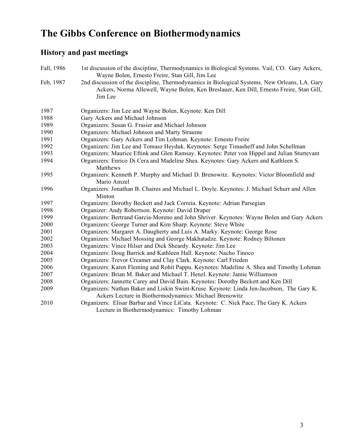# **The Gibbs Conference on Biothermodynamics**

### **History and past meetings**

| Fall, 1986 | 1st discussion of the discipline, Thermodynamics in Biological Systems. Vail, CO. Gary Ackers,<br>Wayne Bolen, Ernesto Freire, Stan Gill, Jim Lee                                                    |
|------------|------------------------------------------------------------------------------------------------------------------------------------------------------------------------------------------------------|
| Feb, 1987  | 2nd discussion of the discipline, Thermodynamics in Biological Systems. New Orleans, LA. Gary<br>Ackers, Norma Allewell, Wayne Bolen, Ken Breslauer, Ken Dill, Ernesto Freire, Stan Gill,<br>Jim Lee |
| 1987       | Organizers: Jim Lee and Wayne Bolen, Keynote: Ken Dill                                                                                                                                               |
| 1988       | Gary Ackers and Michael Johnson                                                                                                                                                                      |
| 1989       | Organizers: Susan G. Frasier and Michael Johnson                                                                                                                                                     |
| 1990       | Organizers: Michael Johnson and Marty Straume                                                                                                                                                        |
| 1991       | Organizers: Gary Ackers and Tim Lohman. Keynote: Ernesto Freire                                                                                                                                      |
| 1992       | Organizers: Jim Lee and Tomasz Heyduk. Keynotes: Serge Timasheff and John Schellman                                                                                                                  |
| 1993       | Organizers: Maurice Eftink and Glen Ramsay. Keynotes: Peter von Hippel and Julian Sturtevant                                                                                                         |
| 1994       | Organizers: Enrico Di Cera and Madeline Shea. Keynotes: Gary Ackers and Kathleen S.<br>Matthews                                                                                                      |
| 1995       | Organizers: Kenneth P. Murphy and Michael D. Brenowitz. Keynotes: Victor Bloomfield and<br>Mario Amzel                                                                                               |
| 1996       | Organizers: Jonathan B. Chaires and Michael L. Doyle. Keynotes: J. Michael Schurr and Allen                                                                                                          |
|            | Minton                                                                                                                                                                                               |
| 1997       | Organizers: Dorothy Beckett and Jack Correia. Keynote: Adrian Parsegian                                                                                                                              |
| 1998       | Organizer: Andy Robertson. Keynote: David Draper                                                                                                                                                     |
| 1999       | Organizers: Bertrand Garcia-Moreno and John Shriver. Keynotes: Wayne Bolen and Gary Ackers                                                                                                           |
| 2000       | Organizers: George Turner and Kim Sharp. Keynote: Steve White                                                                                                                                        |
| 2001       | Organizers: Margaret A. Daugherty and Luis A. Marky. Keynote: George Rose                                                                                                                            |
| 2002       | Organizers: Michael Mossing and George Makhatadze. Keynote: Rodney Biltonen                                                                                                                          |
| 2003       | Organizers: Vince Hilser and Dick Sheardy. Keynote: Jim Lee                                                                                                                                          |
| 2004       | Organizers: Doug Barrick and Kathleen Hall. Keynote: Nacho Tinoco                                                                                                                                    |
| 2005       | Organizers: Trevor Creamer and Clay Clark. Keynote: Carl Frieden                                                                                                                                     |
| 2006       | Organizers: Karen Fleming and Rohit Pappu. Keynotes: Madeline A. Shea and Timothy Lohman                                                                                                             |
| 2007       | Organizers: Brian M. Baker and Michael T. Henzl. Keynote: Jamie Williamson                                                                                                                           |
| 2008       | Organizers: Jannette Carey and David Bain. Keynotes: Dorothy Beckett and Ken Dill                                                                                                                    |
| 2009       | Organizers: Nathan Baker and Liskin Swint-Kruse. Keynote: Linda Jen-Jacobson, The Gary K.<br>Ackers Lecture in Biothermodynamics: Michael Brenowitz                                                  |
| 2010       | Organizers: Elisar Barbar and Vince LiCata. Keynote: C. Nick Pace, The Gary K. Ackers<br>Lecture in Biothermodynamics: Timothy Lohman                                                                |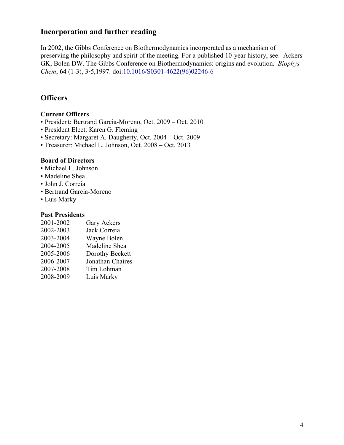### **Incorporation and further reading**

In 2002, the Gibbs Conference on Biothermodynamics incorporated as a mechanism of preserving the philosophy and spirit of the meeting. For a published 10-year history, see: Ackers GK, Bolen DW. The Gibbs Conference on Biothermodynamics: origins and evolution. *Biophys Chem*, **64** (1-3), 3-5,1997. doi:10.1016/S0301-4622(96)02246-6

### **Officers**

### **Current Officers**

- President: Bertrand Garcia-Moreno, Oct. 2009 Oct. 2010
- President Elect: Karen G. Fleming
- Secretary: Margaret A. Daugherty, Oct. 2004 Oct. 2009
- Treasurer: Michael L. Johnson, Oct. 2008 Oct. 2013

### **Board of Directors**

- Michael L. Johnson
- Madeline Shea
- John J. Correia
- Bertrand Garcia-Moreno
- Luis Marky

#### **Past Presidents**

| 2001-2002 | Gary Ackers      |
|-----------|------------------|
| 2002-2003 | Jack Correia     |
| 2003-2004 | Wayne Bolen      |
| 2004-2005 | Madeline Shea    |
| 2005-2006 | Dorothy Beckett  |
| 2006-2007 | Jonathan Chaires |
| 2007-2008 | Tim Lohman       |
| 2008-2009 | Luis Marky       |
|           |                  |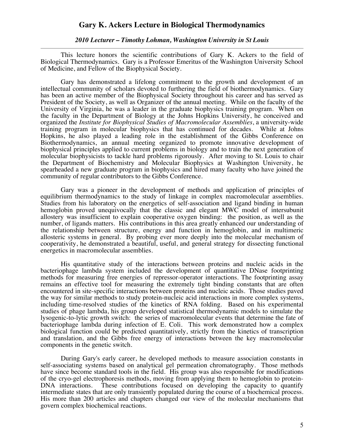#### **Gary K. Ackers Lecture in Biological Thermodynamics**

#### *2010 Lecturer – Timothy Lohman, Washington University in St Louis*

This lecture honors the scientific contributions of Gary K. Ackers to the field of Biological Thermodynamics. Gary is a Professor Emeritus of the Washington University School of Medicine, and Fellow of the Biophysical Society.

Gary has demonstrated a lifelong commitment to the growth and development of an intellectual community of scholars devoted to furthering the field of biothermodynamics. Gary has been an active member of the Biophysical Society throughout his career and has served as President of the Society, as well as Organizer of the annual meeting. While on the faculty of the University of Virginia, he was a leader in the graduate biophysics training program. When on the faculty in the Department of Biology at the Johns Hopkins University, he conceived and organized the *Institute for Biophysical Studies of Macromolecular Assemblies*, a university-wide training program in molecular biophysics that has continued for decades. While at Johns Hopkins, he also played a leading role in the establishment of the Gibbs Conference on Biothermodynamics, an annual meeting organized to promote innovative development of biophysical principles applied to current problems in biology and to train the next generation of molecular biophysicists to tackle hard problems rigorously. After moving to St. Louis to chair the Department of Biochemistry and Molecular Biophysics at Washington University, he spearheaded a new graduate program in biophysics and hired many faculty who have joined the community of regular contributors to the Gibbs Conference.

Gary was a pioneer in the development of methods and application of principles of equilibrium thermodynamics to the study of linkage in complex macromolecular assemblies. Studies from his laboratory on the energetics of self-association and ligand binding in human hemoglobin proved unequivocally that the classic and elegant MWC model of intersubunit allostery was insufficient to explain cooperative oxygen binding: the position, as well as the number, of ligands matters. His contributions in this area greatly enhanced our understanding of the relationship between structure, energy and function in hemoglobin, and in multimeric allosteric systems in general. By probing ever more deeply into the molecular mechanism of cooperativity, he demonstrated a beautiful, useful, and general strategy for dissecting functional energetics in macromolecular assemblies.

His quantitative study of the interactions between proteins and nucleic acids in the bacteriophage lambda system included the development of quantitative DNase footprinting methods for measuring free energies of repressor-operator interactions. The footprinting assay remains an effective tool for measuring the extremely tight binding constants that are often encountered in site-specific interactions between proteins and nucleic acids. Those studies paved the way for similar methods to study protein-nucleic acid interactions in more complex systems, including time-resolved studies of the kinetics of RNA folding. Based on his experimental studies of phage lambda, his group developed statistical thermodynamic models to simulate the lysogenic-to-lytic growth switch: the series of macromolecular events that determine the fate of bacteriophage lambda during infection of E. Coli. This work demonstrated how a complex biological function could be predicted quantitatively, strictly from the kinetics of transcription and translation, and the Gibbs free energy of interactions between the key macromolecular components in the genetic switch.

During Gary's early career, he developed methods to measure association constants in self-associating systems based on analytical gel permeation chromatography. Those methods have since become standard tools in the field. His group was also responsible for modifications of the cryo-gel electrophoresis methods, moving from applying them to hemoglobin to protein- DNA interactions. These contributions focused on developing the capacity to quantify intermediate states that are only transiently populated during the course of a biochemical process. His more than 200 articles and chapters changed our view of the molecular mechanisms that govern complex biochemical reactions.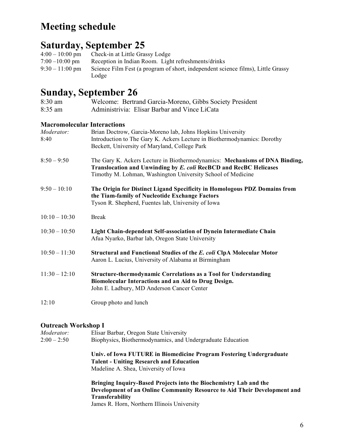# **Meeting schedule**

## **Saturday, September 25**

| $4:00-10:00 \text{ pm}$   | Check-in at Little Grassy Lodge                                                  |
|---------------------------|----------------------------------------------------------------------------------|
| $7:00 - 10:00 \text{ pm}$ | Reception in Indian Room. Light refreshments/drinks                              |
| $9:30-11:00 \text{ pm}$   | Science Film Fest (a program of short, independent science films), Little Grassy |
|                           | Lodge                                                                            |

### **Sunday, September 26**

| $\sum_{i=1}^{n}$<br>8:30 am        | Welcome: Bertrand Garcia-Moreno, Gibbs Society President                                                                                                                                                        |
|------------------------------------|-----------------------------------------------------------------------------------------------------------------------------------------------------------------------------------------------------------------|
| 8:35 am                            | Administrivia: Elisar Barbar and Vince LiCata                                                                                                                                                                   |
| <b>Macromolecular Interactions</b> |                                                                                                                                                                                                                 |
| Moderator:                         | Brian Doctrow, Garcia-Moreno lab, Johns Hopkins University                                                                                                                                                      |
| 8:40                               | Introduction to The Gary K. Ackers Lecture in Biothermodynamics: Dorothy<br>Beckett, University of Maryland, College Park                                                                                       |
| $8:50 - 9:50$                      | The Gary K. Ackers Lecture in Biothermodynamics: Mechanisms of DNA Binding,<br>Translocation and Unwinding by E. coli RecBCD and RecBC Helicases<br>Timothy M. Lohman, Washington University School of Medicine |
| $9:50 - 10:10$                     | The Origin for Distinct Ligand Specificity in Homologous PDZ Domains from<br>the Tiam-family of Nucleotide Exchange Factors<br>Tyson R. Shepherd, Fuentes lab, University of Iowa                               |
| $10:10 - 10:30$                    | <b>Break</b>                                                                                                                                                                                                    |
| $10:30 - 10:50$                    | Light Chain-dependent Self-association of Dynein Intermediate Chain<br>Afua Nyarko, Barbar lab, Oregon State University                                                                                         |
| $10:50 - 11:30$                    | Structural and Functional Studies of the E. coli ClpA Molecular Motor<br>Aaron L. Lucius, University of Alabama at Birmingham                                                                                   |
| $11:30 - 12:10$                    | <b>Structure-thermodynamic Correlations as a Tool for Understanding</b><br>Biomolecular Interactions and an Aid to Drug Design.<br>John E. Ladbury, MD Anderson Cancer Center                                   |
| 12:10                              | Group photo and lunch                                                                                                                                                                                           |

### **Outreach Workshop I**

| Moderator:    | Elisar Barbar, Oregon State University                                   |
|---------------|--------------------------------------------------------------------------|
| $2:00 - 2:50$ | Biophysics, Biothermodynamics, and Undergraduate Education               |
|               | Univ. of Iowa FUTURE in Biomedicine Program Fostering Undergraduate      |
|               | <b>Talent - Uniting Research and Education</b>                           |
|               | Madeline A. Shea, University of Iowa                                     |
|               | Bringing Inquiry-Based Projects into the Biochemistry Lab and the        |
|               | Development of an Online Community Resource to Aid Their Development and |
|               | <b>Transferability</b>                                                   |
|               | James R. Horn, Northern Illinois University                              |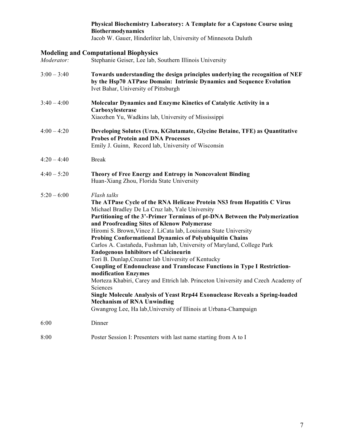#### **Physical Biochemistry Laboratory: A Template for a Capstone Course using Biothermodynamics**

Jacob W. Gauer, Hinderliter lab, University of Minnesota Duluth

# **Modeling and Computational Biophysics**<br>*Moderator:* Stephanie Geiser, Lee lab, S

*Moderator:* Stephanie Geiser, Lee lab, Southern Illinois University

| $3:00 - 3:40$ | Towards understanding the design principles underlying the recognition of NEF<br>by the Hsp70 ATPase Domain: Intrinsic Dynamics and Sequence Evolution<br>Ivet Bahar, University of Pittsburgh                                                                                                                                                                                                                                                                                                                                                                                                                                                                                                                                                                                                                                                                                                                                                                                             |
|---------------|--------------------------------------------------------------------------------------------------------------------------------------------------------------------------------------------------------------------------------------------------------------------------------------------------------------------------------------------------------------------------------------------------------------------------------------------------------------------------------------------------------------------------------------------------------------------------------------------------------------------------------------------------------------------------------------------------------------------------------------------------------------------------------------------------------------------------------------------------------------------------------------------------------------------------------------------------------------------------------------------|
| $3:40 - 4:00$ | Molecular Dynamics and Enzyme Kinetics of Catalytic Activity in a<br>Carboxylesterase<br>Xiaozhen Yu, Wadkins lab, University of Mississippi                                                                                                                                                                                                                                                                                                                                                                                                                                                                                                                                                                                                                                                                                                                                                                                                                                               |
| $4:00 - 4:20$ | Developing Solutes (Urea, KGlutamate, Glycine Betaine, TFE) as Quantitative<br><b>Probes of Protein and DNA Processes</b><br>Emily J. Guinn, Record lab, University of Wisconsin                                                                                                                                                                                                                                                                                                                                                                                                                                                                                                                                                                                                                                                                                                                                                                                                           |
| $4:20 - 4:40$ | <b>Break</b>                                                                                                                                                                                                                                                                                                                                                                                                                                                                                                                                                                                                                                                                                                                                                                                                                                                                                                                                                                               |
| $4:40 - 5:20$ | Theory of Free Energy and Entropy in Noncovalent Binding<br>Huan-Xiang Zhou, Florida State University                                                                                                                                                                                                                                                                                                                                                                                                                                                                                                                                                                                                                                                                                                                                                                                                                                                                                      |
| $5:20 - 6:00$ | Flash talks<br>The ATPase Cycle of the RNA Helicase Protein NS3 from Hepatitis C Virus<br>Michael Bradley De La Cruz lab, Yale University<br>Partitioning of the 3'-Primer Terminus of pt-DNA Between the Polymerization<br>and Proofreading Sites of Klenow Polymerase<br>Hiromi S. Brown, Vince J. LiCata lab, Louisiana State University<br><b>Probing Conformational Dynamics of Polyubiquitin Chains</b><br>Carlos A. Castañeda, Fushman lab, University of Maryland, College Park<br><b>Endogenous Inhibitors of Calcineurin</b><br>Tori B. Dunlap, Creamer lab University of Kentucky<br>Coupling of Endonuclease and Translocase Functions in Type I Restriction-<br>modification Enzymes<br>Morteza Khabiri, Carey and Ettrich lab. Princeton University and Czech Academy of<br>Sciences<br>Single Molecule Analysis of Yeast Rrp44 Exonuclease Reveals a Spring-loaded<br><b>Mechanism of RNA Unwinding</b><br>Gwangrog Lee, Ha lab, University of Illinois at Urbana-Champaign |
| 6:00          | Dinner                                                                                                                                                                                                                                                                                                                                                                                                                                                                                                                                                                                                                                                                                                                                                                                                                                                                                                                                                                                     |
| 8:00          | Poster Session I: Presenters with last name starting from A to I                                                                                                                                                                                                                                                                                                                                                                                                                                                                                                                                                                                                                                                                                                                                                                                                                                                                                                                           |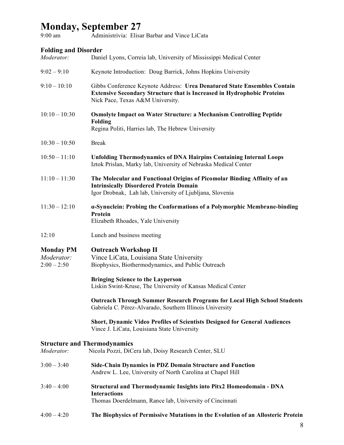### **Monday, September 27**

9:00 am Administrivia: Elisar Barbar and Vince LiCata

### **Folding and Disorder**

| Moderator:                                        | Daniel Lyons, Correia lab, University of Mississippi Medical Center                                                                                                                            |
|---------------------------------------------------|------------------------------------------------------------------------------------------------------------------------------------------------------------------------------------------------|
| $9:02 - 9:10$                                     | Keynote Introduction: Doug Barrick, Johns Hopkins University                                                                                                                                   |
| $9:10 - 10:10$                                    | Gibbs Conference Keynote Address: Urea Denatured State Ensembles Contain<br><b>Extensive Secondary Structure that is Increased in Hydrophobic Proteins</b><br>Nick Pace, Texas A&M University. |
| $10:10 - 10:30$                                   | <b>Osmolyte Impact on Water Structure: a Mechanism Controlling Peptide</b><br><b>Folding</b><br>Regina Politi, Harries lab, The Hebrew University                                              |
| $10:30 - 10:50$                                   | <b>Break</b>                                                                                                                                                                                   |
| $10:50 - 11:10$                                   | <b>Unfolding Thermodynamics of DNA Hairpins Containing Internal Loops</b><br>Iztok Prislan, Marky lab, University of Nebraska Medical Center                                                   |
| $11:10 - 11:30$                                   | The Molecular and Functional Origins of Picomolar Binding Affinity of an<br><b>Intrinsically Disordered Protein Domain</b><br>Igor Drobnak, Lah lab, University of Ljubljana, Slovenia         |
| $11:30 - 12:10$                                   | a-Synuclein: Probing the Conformations of a Polymorphic Membrane-binding<br>Protein<br>Elizabeth Rhoades, Yale University                                                                      |
| 12:10                                             | Lunch and business meeting                                                                                                                                                                     |
| <b>Monday PM</b><br>Moderator:<br>$2:00 - 2:50$   | <b>Outreach Workshop II</b><br>Vince LiCata, Louisiana State University<br>Biophysics, Biothermodynamics, and Public Outreach                                                                  |
|                                                   | <b>Bringing Science to the Layperson</b><br>Liskin Swint-Kruse, The University of Kansas Medical Center                                                                                        |
|                                                   | <b>Outreach Through Summer Research Programs for Local High School Students</b><br>Gabriela C. Pérez-Alvarado, Southern Illinois University                                                    |
|                                                   | Short, Dynamic Video Profiles of Scientists Designed for General Audiences<br>Vince J. LiCata, Louisiana State University                                                                      |
| <b>Structure and Thermodynamics</b><br>Moderator: | Nicola Pozzi, DiCera lab, Doisy Research Center, SLU                                                                                                                                           |
| $3:00 - 3:40$                                     | Side-Chain Dynamics in PDZ Domain Structure and Function<br>Andrew L. Lee, University of North Carolina at Chapel Hill                                                                         |
| $3:40 - 4:00$                                     | <b>Structural and Thermodynamic Insights into Pitx2 Homeodomain - DNA</b><br><b>Interactions</b><br>Thomas Doerdelmann, Rance lab, University of Cincinnati                                    |
| $4:00 - 4:20$                                     | The Biophysics of Permissive Mutations in the Evolution of an Allosteric Protein                                                                                                               |
|                                                   |                                                                                                                                                                                                |